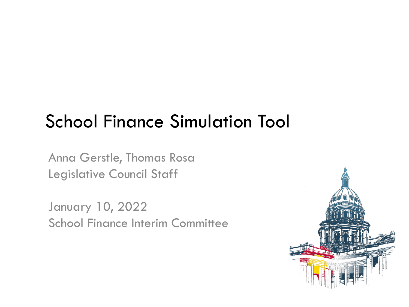# School Finance Simulation Tool

Anna Gerstle, Thomas Rosa Legislative Council Staff

January 10, 2022 School Finance Interim Committee

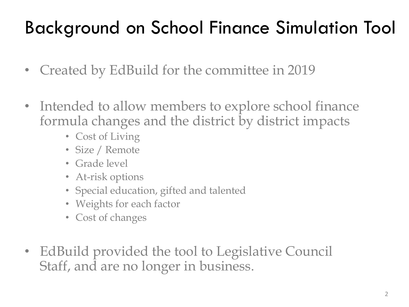# Background on School Finance Simulation Tool

- Created by EdBuild for the committee in 2019
- Intended to allow members to explore school finance formula changes and the district by district impacts
	- Cost of Living
	- Size / Remote
	- Grade level
	- At-risk options
	- Special education, gifted and talented
	- Weights for each factor
	- Cost of changes
- EdBuild provided the tool to Legislative Council Staff, and are no longer in business.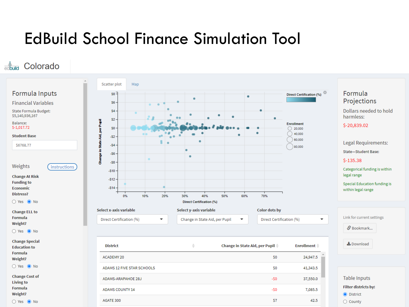## EdBuild School Finance Simulation Tool

### edbuild Colorado

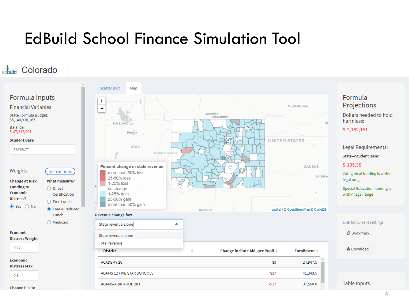## EdBuild School Finance Simulation Tool

### edbuild Colorado

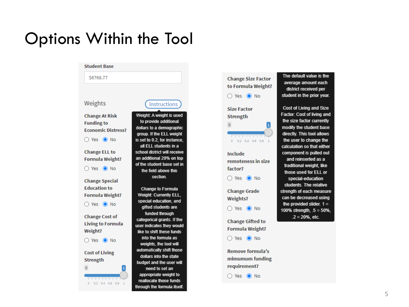### Options Within the Tool

| <b>Student Base</b>                     |                                                       |  |
|-----------------------------------------|-------------------------------------------------------|--|
| \$6768.77                               |                                                       |  |
|                                         |                                                       |  |
| Weights                                 | instructions                                          |  |
| <b>Change At Risk</b>                   | Weight A weight is used                               |  |
| <b>Funding to</b>                       | to provide additional                                 |  |
| <b>Economic Distress?</b>               | dollars to a demographic                              |  |
| ◯ Yes ◎ No                              | group. If the ELL weight                              |  |
|                                         | is set to 0.2, for instance,<br>all ELL students in a |  |
| <b>Change ELL to</b>                    | school district will receive                          |  |
| Formula Weight?                         | an additional 20% on top                              |  |
|                                         | of the student base set in                            |  |
| $\bigcap$ Yes $\bigcirc$ No             | the field above this                                  |  |
|                                         | section.                                              |  |
| <b>Change Special</b>                   |                                                       |  |
| <b>Education to</b>                     | <b>Change to Formula</b>                              |  |
| Formula Weight?                         | <b>Weight: Currently ELL,</b>                         |  |
| $\bigcirc$ Yes $\bigcirc$ No            | special education, and<br>gifted students are         |  |
|                                         | funded through                                        |  |
| <b>Change Cost of</b>                   | categorical grants. If the                            |  |
| <b>Living to Formula</b>                | user indicates they would                             |  |
| Weight?                                 | like to shift these funds                             |  |
| $\bigcirc$ Yes $\bigcirc$ No            | into the formula as                                   |  |
|                                         | weights, the tool will                                |  |
| <b>Cost of Living</b>                   | automatically shift those                             |  |
| <b>Strength</b>                         | dollars into the state<br>budget and the user will    |  |
| $\mathbf{1}$<br>$\circ$                 | need to set an                                        |  |
|                                         | appropriate weight to                                 |  |
| wwwwwwww                                | reallocate those funds                                |  |
| $0.2$ $0.4$ $0.6$ $0.8$<br>$\mathbf{1}$ | through the formula itself.                           |  |
|                                         |                                                       |  |

### **Change Size Factor** to Formula Weight?

○ Yes ● No

**Size Factor Strength**  $\bullet$ 

> التابيا بتابيا بتابياته  $0$  0.2 0.4 0.6 0.8 1

 $\mathbf{1}$ 

**Include** remoteness in size factor?

○ Yes ● No

**Change Grade** Weights? ○ Yes ● No

**Change Gifted to** Formula Weight?

○ Yes ● No

**Remove formula's** mimumum funding requirement?

○ Yes ● No

The default value is the average amount each district received per student in the prior year.

**Cost of Living and Size** Factor: Cost of living and the size factor currently modify the student base directly. This tool allows the user to change the calculation so that either component is pulled out and reinserted as a traditional weight, like those used for ELL or special-education students. The relative strength of each measure can be decreased using the provided slider.  $1 =$ 100% strength,  $.5 = 50%$ ,  $.2 = 20%$ , etc.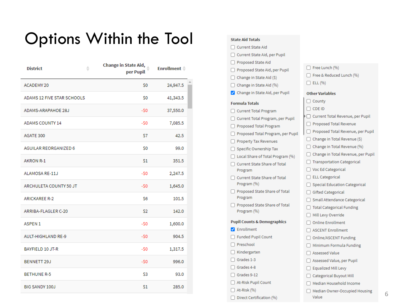## Options Within the Tool

| <b>District</b>              | Change in State Aid, $\frac{1}{2}$<br>♦<br>per Pupil | Enrollment $\doteqdot$ |
|------------------------------|------------------------------------------------------|------------------------|
| ACADEMY 20                   | S <sub>0</sub>                                       | 24,947.5               |
| ADAMS 12 FIVE STAR SCHOOLS   | S <sub>0</sub>                                       | 41,343.5               |
| ADAMS-ARAPAHOE 28J           | -SO                                                  | 37,550.0               |
| <b>ADAMS COUNTY 14</b>       | $-50$                                                | 7,085.5                |
| AGATE 300                    | S7                                                   | 42.5                   |
| <b>AGUILAR REORGANIZED 6</b> | S <sub>0</sub>                                       | 99.0                   |
| <b>AKRON R-1</b>             | S <sub>1</sub>                                       | 351.5                  |
| ALAMOSA RE-11J               | $-50$                                                | 2,247.5                |
| ARCHULETA COUNTY 50 JT       | -S0                                                  | 1,645.0                |
| <b>ARICKAREE R-2</b>         | S <sub>6</sub>                                       | 101.5                  |
| ARRIBA-FLAGLER C-20          | S <sub>2</sub>                                       | 142.0                  |
| <b>ASPEN 1</b>               | $-50$                                                | 1,600.0                |
| <b>AULT-HIGHLAND RE-9</b>    | $-50$                                                | 904.5                  |
| <b>BAYFIELD 10 JT-R</b>      | -SO                                                  | 1,317.5                |
| <b>BENNETT 29J</b>           | $-50$                                                | 996.0                  |
| <b>BETHUNE R-5</b>           | S3                                                   | 93.0                   |
| <b>BIG SANDY 100J</b>        | S <sub>1</sub>                                       | 285.0                  |

#### **State Aid Totals** □ Current State Aid Current State Aid, per Pupil

- Proposed State Aid
- Proposed State Aid, per Pupil
- Change in State Aid (\$)
- Change in State Aid (%)
- Change in State Aid, per Pupil

#### **Formula Totals**

- Current Total Program
- Current Total Program, per Pupil
- Proposed Total Program
- Proposed Total Program, per Pupil
- Property Tax Revenues
- Specific Ownership Tax
- □ Local Share of Total Program (%)
- Current State Share of Total Program
- Current State Share of Total Program (%)
- Proposed State Share of Total Program
- Proposed State Share of Total Program (%)

#### **Pupil Counts & Demographics**

- **Z** Enrollment
- Funded Pupil Count
- □ Preschool
- □ Kindergarten
- $\Box$  Grades 1-3
- Grades 4-8
- $\Box$  Grades 9-12
- At-Risk Pupil Count
- $\Box$  At-Risk (%)
- Direct Certification (%)
- Free Lunch (%) Free & Reduced Lunch (%)  $\Box$  ELL (%) **Other Variables**  $\Box$  County  $\Box$  CDE ID Current Total Revenue, per Pupil Proposed Total Revenue Proposed Total Revenue, per Pupil Change in Total Revenue (\$) Change in Total Revenue (%) □ Change in Total Revenue, per Pupil □ Transportation Categorical □ Voc Ed Categorical ELL Categorical □ Special Education Categorical Gifted Categorical Small Attendance Categorical □ Total Categorical Funding Mill Levy Override Online Enrollment ASCENT Enrollment Online/ASCENT Funding Minimum Formula Funding Assessed Value Assessed Value, per Pupil Equalized Mill Levy Categorical Buyout Mill Median Household Income
- Median Owner-Occupied Housing Value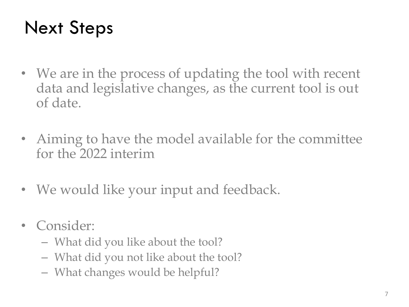# Next Steps

- We are in the process of updating the tool with recent data and legislative changes, as the current tool is out of date.
- Aiming to have the model available for the committee for the 2022 interim
- We would like your input and feedback.
- Consider:
	- What did you like about the tool?
	- What did you not like about the tool?
	- What changes would be helpful?